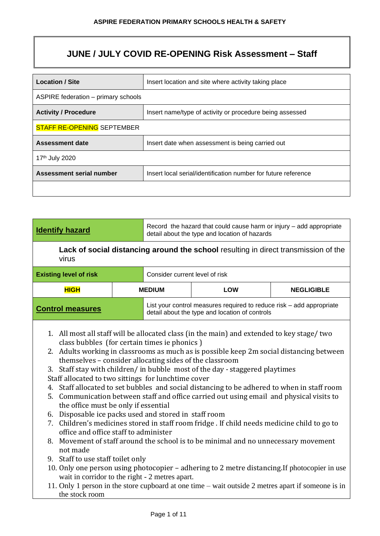# **JUNE / JULY COVID RE-OPENING Risk Assessment – Staff**

| <b>Location / Site</b>              | Insert location and site where activity taking place           |  |  |  |  |
|-------------------------------------|----------------------------------------------------------------|--|--|--|--|
| ASPIRE federation – primary schools |                                                                |  |  |  |  |
| <b>Activity / Procedure</b>         | Insert name/type of activity or procedure being assessed       |  |  |  |  |
| <b>STAFF RE-OPENING SEPTEMBER</b>   |                                                                |  |  |  |  |
| <b>Assessment date</b>              | Insert date when assessment is being carried out               |  |  |  |  |
| 17 <sup>th</sup> July 2020          |                                                                |  |  |  |  |
| Assessment serial number            | Insert local serial/identification number for future reference |  |  |  |  |
|                                     |                                                                |  |  |  |  |

|  | <b>Identify hazard</b> | Record the hazard that could cause harm or injury – add appropriate<br>detail about the type and location of hazards |
|--|------------------------|----------------------------------------------------------------------------------------------------------------------|
|--|------------------------|----------------------------------------------------------------------------------------------------------------------|

**Lack of social distancing around the school** resulting in direct transmission of the virus

| <b>Existing level of risk</b> |  | Consider current level of risk                                                                                         |  |                   |  |
|-------------------------------|--|------------------------------------------------------------------------------------------------------------------------|--|-------------------|--|
| <b>HIGH</b>                   |  | <b>MEDIUM</b><br><b>LOW</b>                                                                                            |  | <b>NEGLIGIBLE</b> |  |
| <b>Control measures</b>       |  | List your control measures required to reduce risk – add appropriate<br>detail about the type and location of controls |  |                   |  |

- 1. All most all staff will be allocated class (in the main) and extended to key stage/ two class bubbles (for certain times ie phonics )
- 2. Adults working in classrooms as much as is possible keep 2m social distancing between themselves – consider allocating sides of the classroom
- 3. Staff stay with children/ in bubble most of the day staggered playtimes

Staff allocated to two sittings for lunchtime cover

- 4. Staff allocated to set bubbles and social distancing to be adhered to when in staff room
- 5. Communication between staff and office carried out using email and physical visits to the office must be only if essential
- 6. Disposable ice packs used and stored in staff room
- 7. Children's medicines stored in staff room fridge . If child needs medicine child to go to office and office staff to administer
- 8. Movement of staff around the school is to be minimal and no unnecessary movement not made
- 9. Staff to use staff toilet only
- 10. Only one person using photocopier adhering to 2 metre distancing.If photocopier in use wait in corridor to the right - 2 metres apart.
- 11. Only 1 person in the store cupboard at one time wait outside 2 metres apart if someone is in the stock room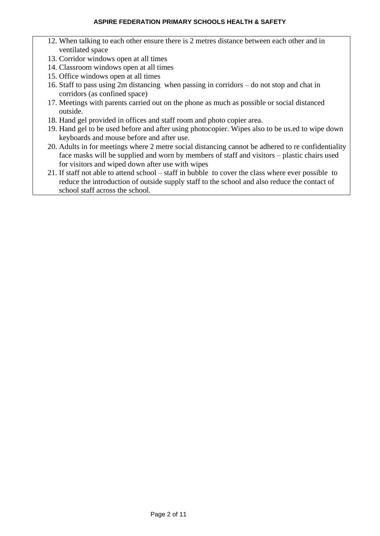- 12. When talking to each other ensure there is 2 metres distance between each other and in ventilated space
- 13. Corridor windows open at all times
- 14. Classroom windows open at all times
- 15. Office windows open at all times
- 16. Staff to pass using 2m distancing when passing in corridors do not stop and chat in corridors (as confined space)
- 17. Meetings with parents carried out on the phone as much as possible or social distanced outside.
- 18. Hand gel provided in offices and staff room and photo copier area.
- 19. Hand gel to be used before and after using photocopier. Wipes also to be us.ed to wipe down keyboards and mouse before and after use.
- 20. Adults in for meetings where 2 metre social distancing cannot be adhered to re confidentiality face masks will be supplied and worn by members of staff and visitors – plastic chairs used for visitors and wiped down after use with wipes
- 21. If staff not able to attend school staff in bubble to cover the class where ever possible to reduce the introduction of outside supply staff to the school and also reduce the contact of school staff across the school.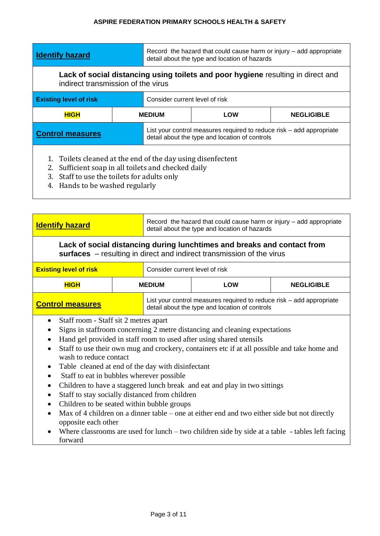| <b>Identify hazard</b>                                                                                                                                                                                  |  | Record the hazard that could cause harm or injury – add appropriate<br>detail about the type and location of hazards   |  |  |  |  |
|---------------------------------------------------------------------------------------------------------------------------------------------------------------------------------------------------------|--|------------------------------------------------------------------------------------------------------------------------|--|--|--|--|
| Lack of social distancing using toilets and poor hygiene resulting in direct and<br>indirect transmission of the virus                                                                                  |  |                                                                                                                        |  |  |  |  |
| <b>Existing level of risk</b>                                                                                                                                                                           |  | Consider current level of risk                                                                                         |  |  |  |  |
| <b>HIGH</b>                                                                                                                                                                                             |  | <b>MEDIUM</b><br><b>LOW</b><br><b>NEGLIGIBLE</b>                                                                       |  |  |  |  |
| <b>Control measures</b>                                                                                                                                                                                 |  | List your control measures required to reduce risk – add appropriate<br>detail about the type and location of controls |  |  |  |  |
| Toilets cleaned at the end of the day using disenfectent<br>2.<br>Sufficient soap in all toilets and checked daily<br>Staff to use the toilets for adults only<br>3.<br>4. Hands to be washed regularly |  |                                                                                                                        |  |  |  |  |

| <b>Identify hazard</b>                      |                                                                                                                                                                                                                                                                                                                                                                                                                                                                                                                                                                                                                                                                                                                                                                                                                                   | Record the hazard that could cause harm or injury - add appropriate<br>detail about the type and location of hazards |                                                                                                                        |                   |  |  |  |  |
|---------------------------------------------|-----------------------------------------------------------------------------------------------------------------------------------------------------------------------------------------------------------------------------------------------------------------------------------------------------------------------------------------------------------------------------------------------------------------------------------------------------------------------------------------------------------------------------------------------------------------------------------------------------------------------------------------------------------------------------------------------------------------------------------------------------------------------------------------------------------------------------------|----------------------------------------------------------------------------------------------------------------------|------------------------------------------------------------------------------------------------------------------------|-------------------|--|--|--|--|
|                                             | Lack of social distancing during lunchtimes and breaks and contact from<br>surfaces – resulting in direct and indirect transmission of the virus                                                                                                                                                                                                                                                                                                                                                                                                                                                                                                                                                                                                                                                                                  |                                                                                                                      |                                                                                                                        |                   |  |  |  |  |
| <b>Existing level of risk</b>               |                                                                                                                                                                                                                                                                                                                                                                                                                                                                                                                                                                                                                                                                                                                                                                                                                                   | Consider current level of risk                                                                                       |                                                                                                                        |                   |  |  |  |  |
| <b>HIGH</b>                                 |                                                                                                                                                                                                                                                                                                                                                                                                                                                                                                                                                                                                                                                                                                                                                                                                                                   | <b>MEDIUM</b>                                                                                                        | <b>LOW</b>                                                                                                             | <b>NEGLIGIBLE</b> |  |  |  |  |
| <b>Control measures</b>                     |                                                                                                                                                                                                                                                                                                                                                                                                                                                                                                                                                                                                                                                                                                                                                                                                                                   |                                                                                                                      | List your control measures required to reduce risk – add appropriate<br>detail about the type and location of controls |                   |  |  |  |  |
| ٠<br>$\bullet$<br>٠<br>$\bullet$<br>forward | Staff room - Staff sit 2 metres apart<br>Signs in staffroom concerning 2 metre distancing and cleaning expectations<br>Hand gel provided in staff room to used after using shared utensils<br>Staff to use their own mug and crockery, containers etc if at all possible and take home and<br>wash to reduce contact<br>Table cleaned at end of the day with disinfectant<br>Staff to eat in bubbles wherever possible<br>Children to have a staggered lunch break and eat and play in two sittings<br>Staff to stay socially distanced from children<br>Children to be seated within bubble groups<br>Max of 4 children on a dinner table – one at either end and two either side but not directly<br>opposite each other<br>Where classrooms are used for lunch $-$ two children side by side at a table $-$ tables left facing |                                                                                                                      |                                                                                                                        |                   |  |  |  |  |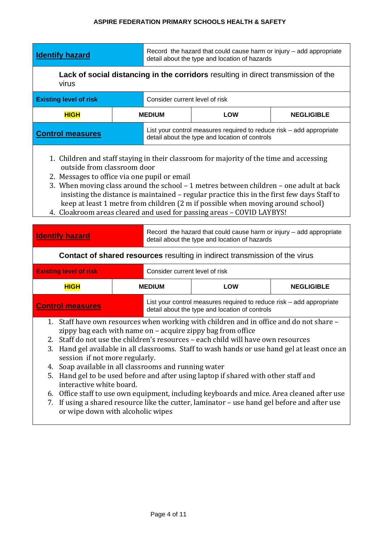| <b>Identify hazard</b>                                           |                                                                                                                                                                                                                                                                                                                                                                                                                                                                                                                                                                                                                                                                                                                              | Record the hazard that could cause harm or injury – add appropriate<br>detail about the type and location of hazards   |                   |  |  |  |
|------------------------------------------------------------------|------------------------------------------------------------------------------------------------------------------------------------------------------------------------------------------------------------------------------------------------------------------------------------------------------------------------------------------------------------------------------------------------------------------------------------------------------------------------------------------------------------------------------------------------------------------------------------------------------------------------------------------------------------------------------------------------------------------------------|------------------------------------------------------------------------------------------------------------------------|-------------------|--|--|--|
| virus                                                            | Lack of social distancing in the corridors resulting in direct transmission of the                                                                                                                                                                                                                                                                                                                                                                                                                                                                                                                                                                                                                                           |                                                                                                                        |                   |  |  |  |
| <b>Existing level of risk</b>                                    | Consider current level of risk                                                                                                                                                                                                                                                                                                                                                                                                                                                                                                                                                                                                                                                                                               |                                                                                                                        |                   |  |  |  |
| <b>HIGH</b>                                                      | <b>MEDIUM</b>                                                                                                                                                                                                                                                                                                                                                                                                                                                                                                                                                                                                                                                                                                                | <b>LOW</b>                                                                                                             | <b>NEGLIGIBLE</b> |  |  |  |
| <b>Control measures</b>                                          |                                                                                                                                                                                                                                                                                                                                                                                                                                                                                                                                                                                                                                                                                                                              | List your control measures required to reduce risk – add appropriate<br>detail about the type and location of controls |                   |  |  |  |
|                                                                  | 1. Children and staff staying in their classroom for majority of the time and accessing<br>outside from classroom door<br>2. Messages to office via one pupil or email<br>3. When moving class around the school - 1 metres between children - one adult at back<br>insisting the distance is maintained - regular practice this in the first few days Staff to<br>keep at least 1 metre from children (2 m if possible when moving around school)<br>4. Cloakroom areas cleared and used for passing areas - COVID LAYBYS!                                                                                                                                                                                                  |                                                                                                                        |                   |  |  |  |
| <b>Identify hazard</b>                                           | Contact of shared resources resulting in indirect transmission of the virus                                                                                                                                                                                                                                                                                                                                                                                                                                                                                                                                                                                                                                                  | Record the hazard that could cause harm or injury - add appropriate<br>detail about the type and location of hazards   |                   |  |  |  |
| <b>Existing level of risk</b>                                    | Consider current level of risk                                                                                                                                                                                                                                                                                                                                                                                                                                                                                                                                                                                                                                                                                               |                                                                                                                        |                   |  |  |  |
| <b>HIGH</b>                                                      | <b>MEDIUM</b>                                                                                                                                                                                                                                                                                                                                                                                                                                                                                                                                                                                                                                                                                                                | <b>LOW</b>                                                                                                             | <b>NEGLIGIBLE</b> |  |  |  |
| <b>Control measures</b>                                          | List your control measures required to reduce risk – add appropriate<br>detail about the type and location of controls                                                                                                                                                                                                                                                                                                                                                                                                                                                                                                                                                                                                       |                                                                                                                        |                   |  |  |  |
| session if not more regularly.<br>4.<br>interactive white board. | 1. Staff have own resources when working with children and in office and do not share –<br>zippy bag each with name on - acquire zippy bag from office<br>2. Staff do not use the children's resources - each child will have own resources<br>3. Hand gel available in all classrooms. Staff to wash hands or use hand gel at least once an<br>Soap available in all classrooms and running water<br>5. Hand gel to be used before and after using laptop if shared with other staff and<br>6. Office staff to use own equipment, including keyboards and mice. Area cleaned after use<br>7. If using a shared resource like the cutter, laminator - use hand gel before and after use<br>or wipe down with alcoholic wipes |                                                                                                                        |                   |  |  |  |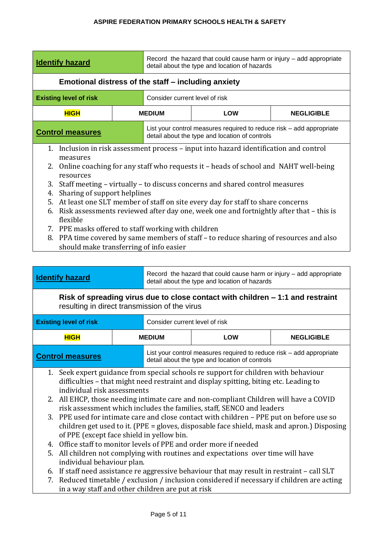| <b>Identify hazard</b>                                                                                                                                                                                                                                                                                                                                                                                                                                                                                                                                                                                                                                                              | Record the hazard that could cause harm or injury - add appropriate<br>detail about the type and location of hazards |                                                                                                                        |            |                   |  |
|-------------------------------------------------------------------------------------------------------------------------------------------------------------------------------------------------------------------------------------------------------------------------------------------------------------------------------------------------------------------------------------------------------------------------------------------------------------------------------------------------------------------------------------------------------------------------------------------------------------------------------------------------------------------------------------|----------------------------------------------------------------------------------------------------------------------|------------------------------------------------------------------------------------------------------------------------|------------|-------------------|--|
| Emotional distress of the staff – including anxiety                                                                                                                                                                                                                                                                                                                                                                                                                                                                                                                                                                                                                                 |                                                                                                                      |                                                                                                                        |            |                   |  |
| <b>Existing level of risk</b>                                                                                                                                                                                                                                                                                                                                                                                                                                                                                                                                                                                                                                                       |                                                                                                                      | Consider current level of risk                                                                                         |            |                   |  |
| <b>HIGH</b>                                                                                                                                                                                                                                                                                                                                                                                                                                                                                                                                                                                                                                                                         |                                                                                                                      | <b>MEDIUM</b>                                                                                                          | <b>LOW</b> | <b>NEGLIGIBLE</b> |  |
| <b>Control measures</b>                                                                                                                                                                                                                                                                                                                                                                                                                                                                                                                                                                                                                                                             |                                                                                                                      | List your control measures required to reduce risk – add appropriate<br>detail about the type and location of controls |            |                   |  |
| 1. Inclusion in risk assessment process – input into hazard identification and control<br>measures<br>2. Online coaching for any staff who requests it – heads of school and NAHT well-being<br>resources<br>3. Staff meeting – virtually – to discuss concerns and shared control measures<br>Sharing of support helplines<br>4.<br>5. At least one SLT member of staff on site every day for staff to share concerns<br>Risk assessments reviewed after day one, week one and fortnightly after that – this is<br>6.<br>flexible<br>7. PPE masks offered to staff working with children<br>8. PPA time covered by same members of staff - to reduce sharing of resources and also |                                                                                                                      |                                                                                                                        |            |                   |  |

| <b>Identify hazard</b> |
|------------------------|

Record the hazard that could cause harm or injury – add appropriate detail about the type and location of hazards

**Risk of spreading virus due to close contact with children – 1:1 and restraint** resulting in direct transmission of the virus

| <b>Existing level of risk</b> |  | Consider current level of risk                                                                                         |     |                   |
|-------------------------------|--|------------------------------------------------------------------------------------------------------------------------|-----|-------------------|
| <b>HIGH</b>                   |  | <b>MEDIUM</b>                                                                                                          | LOW | <b>NEGLIGIBLE</b> |
| <b>Control measures</b>       |  | List your control measures required to reduce risk – add appropriate<br>detail about the type and location of controls |     |                   |

- 1. Seek expert guidance from special schools re support for children with behaviour difficulties – that might need restraint and display spitting, biting etc. Leading to individual risk assessments
- 2. All EHCP, those needing intimate care and non-compliant Children will have a COVID risk assessment which includes the families, staff, SENCO and leaders
- 3. PPE used for intimate care and close contact with children PPE put on before use so children get used to it. (PPE = gloves, disposable face shield, mask and apron.) Disposing of PPE (except face shield in yellow bin.
- 4. Office staff to monitor levels of PPE and order more if needed
- 5. All children not complying with routines and expectations over time will have individual behaviour plan.
- 6. If staff need assistance re aggressive behaviour that may result in restraint call SLT
- 7. Reduced timetable / exclusion / inclusion considered if necessary if children are acting in a way staff and other children are put at risk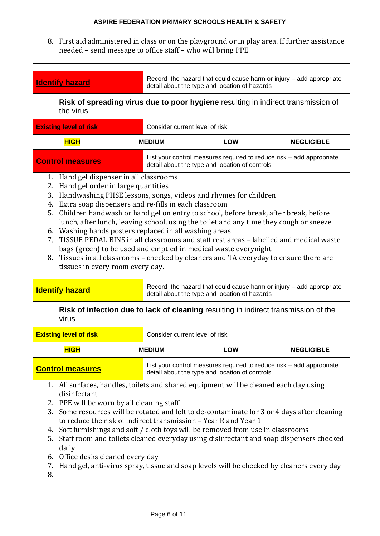8. First aid administered in class or on the playground or in play area. If further assistance needed – send message to office staff – who will bring PPE

| <b>Identify hazard</b>                                                                                                                                                                                                                                                                                                                                                                                                                                                                                                                                                                                                                                                                                                                                                            |  | Record the hazard that could cause harm or injury – add appropriate<br>detail about the type and location of hazards |                                                                                                                        |                   |  |
|-----------------------------------------------------------------------------------------------------------------------------------------------------------------------------------------------------------------------------------------------------------------------------------------------------------------------------------------------------------------------------------------------------------------------------------------------------------------------------------------------------------------------------------------------------------------------------------------------------------------------------------------------------------------------------------------------------------------------------------------------------------------------------------|--|----------------------------------------------------------------------------------------------------------------------|------------------------------------------------------------------------------------------------------------------------|-------------------|--|
| Risk of spreading virus due to poor hygiene resulting in indirect transmission of<br>the virus                                                                                                                                                                                                                                                                                                                                                                                                                                                                                                                                                                                                                                                                                    |  |                                                                                                                      |                                                                                                                        |                   |  |
| <b>Existing level of risk</b>                                                                                                                                                                                                                                                                                                                                                                                                                                                                                                                                                                                                                                                                                                                                                     |  | Consider current level of risk                                                                                       |                                                                                                                        |                   |  |
| <b>HIGH</b>                                                                                                                                                                                                                                                                                                                                                                                                                                                                                                                                                                                                                                                                                                                                                                       |  | <b>MEDIUM</b>                                                                                                        | <b>LOW</b>                                                                                                             | <b>NEGLIGIBLE</b> |  |
| <b>Control measures</b>                                                                                                                                                                                                                                                                                                                                                                                                                                                                                                                                                                                                                                                                                                                                                           |  |                                                                                                                      | List your control measures required to reduce risk – add appropriate<br>detail about the type and location of controls |                   |  |
| Hand gel dispenser in all classrooms<br>1.<br>2.<br>Hand gel order in large quantities<br>Handwashing PHSE lessons, songs, videos and rhymes for children<br>3.<br>Extra soap dispensers and re-fills in each classroom<br>4.<br>5.<br>Children handwash or hand gel on entry to school, before break, after break, before<br>lunch, after lunch, leaving school, using the toilet and any time they cough or sneeze<br>6. Washing hands posters replaced in all washing areas<br>TISSUE PEDAL BINS in all classrooms and staff rest areas - labelled and medical waste<br>7.<br>bags (green) to be used and emptied in medical waste everynight<br>Tissues in all classrooms - checked by cleaners and TA everyday to ensure there are<br>8.<br>tissues in every room every day. |  |                                                                                                                      |                                                                                                                        |                   |  |
| Record the hazard that could cause harm or injury - add appropriate<br><b>Identify hazard</b><br>detail about the type and location of hazards                                                                                                                                                                                                                                                                                                                                                                                                                                                                                                                                                                                                                                    |  |                                                                                                                      |                                                                                                                        |                   |  |
| Risk of infection due to lack of cleaning resulting in indirect transmission of the<br>virus                                                                                                                                                                                                                                                                                                                                                                                                                                                                                                                                                                                                                                                                                      |  |                                                                                                                      |                                                                                                                        |                   |  |
| <b>Existing level of risk</b>                                                                                                                                                                                                                                                                                                                                                                                                                                                                                                                                                                                                                                                                                                                                                     |  | Consider current level of risk                                                                                       |                                                                                                                        |                   |  |
| <b>LICU</b>                                                                                                                                                                                                                                                                                                                                                                                                                                                                                                                                                                                                                                                                                                                                                                       |  | MENIIM<br>וווח ו<br>NECI ICIDI E                                                                                     |                                                                                                                        |                   |  |

| <b>HIGH</b>             | <b>MEDIUM</b> |  | <b>LOW</b>                                                                                                             | <b>NEGLIGIBLE</b> |
|-------------------------|---------------|--|------------------------------------------------------------------------------------------------------------------------|-------------------|
| <b>Control measures</b> |               |  | List your control measures required to reduce risk – add appropriate<br>detail about the type and location of controls |                   |

- 1. All surfaces, handles, toilets and shared equipment will be cleaned each day using disinfectant
- 2. PPE will be worn by all cleaning staff
- 3. Some resources will be rotated and left to de-contaminate for 3 or 4 days after cleaning to reduce the risk of indirect transmission – Year R and Year 1
- 4. Soft furnishings and soft / cloth toys will be removed from use in classrooms
- 5. Staff room and toilets cleaned everyday using disinfectant and soap dispensers checked daily
- 6. Office desks cleaned every day
- 7. Hand gel, anti-virus spray, tissue and soap levels will be checked by cleaners every day
- 8.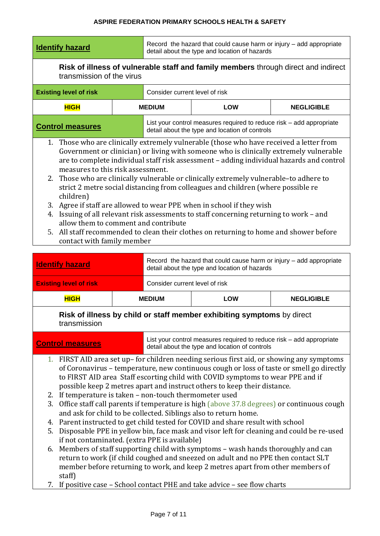| Record the hazard that could cause harm or injury - add appropriate<br><b>Identify hazard</b><br>detail about the type and location of hazards                                                                                                                                                                                                                                                                                                                                                                                                                                                                                                                                                                                                                                                                         |                                                                                                                 |                                                                                                                        |            |                   |  |  |  |  |
|------------------------------------------------------------------------------------------------------------------------------------------------------------------------------------------------------------------------------------------------------------------------------------------------------------------------------------------------------------------------------------------------------------------------------------------------------------------------------------------------------------------------------------------------------------------------------------------------------------------------------------------------------------------------------------------------------------------------------------------------------------------------------------------------------------------------|-----------------------------------------------------------------------------------------------------------------|------------------------------------------------------------------------------------------------------------------------|------------|-------------------|--|--|--|--|
|                                                                                                                                                                                                                                                                                                                                                                                                                                                                                                                                                                                                                                                                                                                                                                                                                        | Risk of illness of vulnerable staff and family members through direct and indirect<br>transmission of the virus |                                                                                                                        |            |                   |  |  |  |  |
| <b>Existing level of risk</b>                                                                                                                                                                                                                                                                                                                                                                                                                                                                                                                                                                                                                                                                                                                                                                                          |                                                                                                                 | Consider current level of risk                                                                                         |            |                   |  |  |  |  |
| <b>HIGH</b>                                                                                                                                                                                                                                                                                                                                                                                                                                                                                                                                                                                                                                                                                                                                                                                                            |                                                                                                                 | <b>MEDIUM</b>                                                                                                          | <b>LOW</b> | <b>NEGLIGIBLE</b> |  |  |  |  |
| <b>Control measures</b>                                                                                                                                                                                                                                                                                                                                                                                                                                                                                                                                                                                                                                                                                                                                                                                                |                                                                                                                 | List your control measures required to reduce risk - add appropriate<br>detail about the type and location of controls |            |                   |  |  |  |  |
| 1. Those who are clinically extremely vulnerable (those who have received a letter from<br>Government or clinician) or living with someone who is clinically extremely vulnerable<br>are to complete individual staff risk assessment - adding individual hazards and control<br>measures to this risk assessment.<br>2. Those who are clinically vulnerable or clinically extremely vulnerable-to adhere to<br>strict 2 metre social distancing from colleagues and children (where possible re<br>children)<br>3. Agree if staff are allowed to wear PPE when in school if they wish<br>Issuing of all relevant risk assessments to staff concerning returning to work - and<br>4.<br>allow them to comment and contribute<br>5. All staff recommended to clean their clothes on returning to home and shower before |                                                                                                                 |                                                                                                                        |            |                   |  |  |  |  |

| <b>Identify hazard</b>                                                                                                                                                                                                                                                                                                                                                                                                                                                                                                                                                                                                                                                                                                                                                                                                                                                                                                                                                                                                                                                                                |               | Record the hazard that could cause harm or injury - add appropriate<br>detail about the type and location of hazards |                                                |                                                                      |
|-------------------------------------------------------------------------------------------------------------------------------------------------------------------------------------------------------------------------------------------------------------------------------------------------------------------------------------------------------------------------------------------------------------------------------------------------------------------------------------------------------------------------------------------------------------------------------------------------------------------------------------------------------------------------------------------------------------------------------------------------------------------------------------------------------------------------------------------------------------------------------------------------------------------------------------------------------------------------------------------------------------------------------------------------------------------------------------------------------|---------------|----------------------------------------------------------------------------------------------------------------------|------------------------------------------------|----------------------------------------------------------------------|
| <b>Existing level of risk</b>                                                                                                                                                                                                                                                                                                                                                                                                                                                                                                                                                                                                                                                                                                                                                                                                                                                                                                                                                                                                                                                                         |               | Consider current level of risk                                                                                       |                                                |                                                                      |
| <b>HIGH</b>                                                                                                                                                                                                                                                                                                                                                                                                                                                                                                                                                                                                                                                                                                                                                                                                                                                                                                                                                                                                                                                                                           | <b>MEDIUM</b> |                                                                                                                      | <b>LOW</b>                                     | <b>NEGLIGIBLE</b>                                                    |
| Risk of illness by child or staff member exhibiting symptoms by direct<br>transmission                                                                                                                                                                                                                                                                                                                                                                                                                                                                                                                                                                                                                                                                                                                                                                                                                                                                                                                                                                                                                |               |                                                                                                                      |                                                |                                                                      |
| <b>Control measures</b>                                                                                                                                                                                                                                                                                                                                                                                                                                                                                                                                                                                                                                                                                                                                                                                                                                                                                                                                                                                                                                                                               |               |                                                                                                                      | detail about the type and location of controls | List your control measures required to reduce risk – add appropriate |
| 1. FIRST AID area set up- for children needing serious first aid, or showing any symptoms<br>of Coronavirus - temperature, new continuous cough or loss of taste or smell go directly<br>to FIRST AID area Staff escorting child with COVID symptoms to wear PPE and if<br>possible keep 2 metres apart and instruct others to keep their distance.<br>2. If temperature is taken - non-touch thermometer used<br>Office staff call parents if temperature is high (above 37.8 degrees) or continuous cough<br>3.<br>and ask for child to be collected. Siblings also to return home.<br>Parent instructed to get child tested for COVID and share result with school<br>4.<br>Disposable PPE in yellow bin, face mask and visor left for cleaning and could be re-used<br>5.<br>if not contaminated. (extra PPE is available)<br>6. Members of staff supporting child with symptoms - wash hands thoroughly and can<br>return to work (if child coughed and sneezed on adult and no PPE then contact SLT<br>member before returning to work, and keep 2 metres apart from other members of<br>staff) |               |                                                                                                                      |                                                |                                                                      |

7. If positive case – School contact PHE and take advice – see flow charts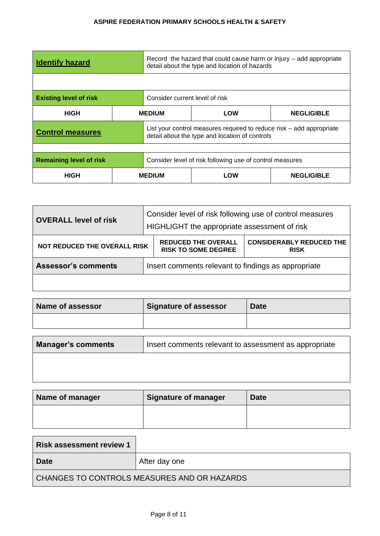| <b>Identify hazard</b>         |                                | Record the hazard that could cause harm or injury – add appropriate<br>detail about the type and location of hazards |                                                                                                                        |                   |
|--------------------------------|--------------------------------|----------------------------------------------------------------------------------------------------------------------|------------------------------------------------------------------------------------------------------------------------|-------------------|
|                                |                                |                                                                                                                      |                                                                                                                        |                   |
| <b>Existing level of risk</b>  | Consider current level of risk |                                                                                                                      |                                                                                                                        |                   |
| <b>HIGH</b>                    | <b>MEDIUM</b>                  |                                                                                                                      | <b>LOW</b>                                                                                                             | <b>NEGLIGIBLE</b> |
| <b>Control measures</b>        |                                |                                                                                                                      | List your control measures required to reduce risk – add appropriate<br>detail about the type and location of controls |                   |
|                                |                                |                                                                                                                      |                                                                                                                        |                   |
| <b>Remaining level of risk</b> |                                |                                                                                                                      | Consider level of risk following use of control measures                                                               |                   |
| <b>HIGH</b>                    | <b>MEDIUM</b>                  |                                                                                                                      | LOW                                                                                                                    | <b>NEGLIGIBLE</b> |

| <b>OVERALL level of risk</b>        | Consider level of risk following use of control measures<br>HIGHLIGHT the appropriate assessment of risk |                                                          |                                                |
|-------------------------------------|----------------------------------------------------------------------------------------------------------|----------------------------------------------------------|------------------------------------------------|
| <b>NOT REDUCED THE OVERALL RISK</b> |                                                                                                          | <b>REDUCED THE OVERALL</b><br><b>RISK TO SOME DEGREE</b> | <b>CONSIDERABLY REDUCED THE</b><br><b>RISK</b> |
| <b>Assessor's comments</b>          |                                                                                                          | Insert comments relevant to findings as appropriate      |                                                |
|                                     |                                                                                                          |                                                          |                                                |

| Name of assessor          | <b>Signature of assessor</b>                          | Date |
|---------------------------|-------------------------------------------------------|------|
|                           |                                                       |      |
|                           |                                                       |      |
| <b>Manager's comments</b> | Insert comments relevant to assessment as appropriate |      |
|                           |                                                       |      |

<u> 1980 - Johann Stoff, deutscher Stoffen und der Stoffen und der Stoffen und der Stoffen und der Stoffen und d</u>

| Name of manager | <b>Signature of manager</b> | <b>Date</b> |
|-----------------|-----------------------------|-------------|
|                 |                             |             |

| <b>Risk assessment review 1</b>             |               |
|---------------------------------------------|---------------|
| <b>Date</b>                                 | After day one |
| CHANGES TO CONTROLS MEASURES AND OR HAZARDS |               |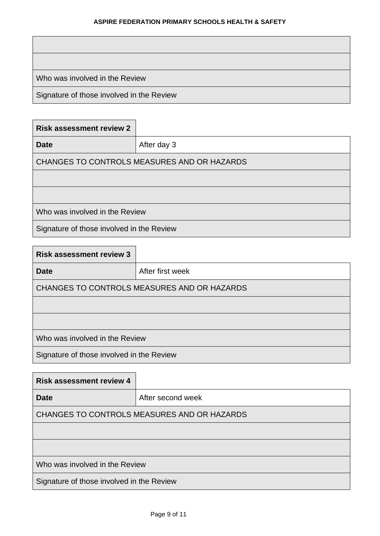| Who was involved in the Review            |
|-------------------------------------------|
| Signature of those involved in the Review |

| <b>Risk assessment review 2</b>           |                                             |
|-------------------------------------------|---------------------------------------------|
| <b>Date</b>                               | After day 3                                 |
|                                           | CHANGES TO CONTROLS MEASURES AND OR HAZARDS |
|                                           |                                             |
|                                           |                                             |
| Who was involved in the Review            |                                             |
| Signature of those involved in the Review |                                             |

| <b>Risk assessment review 3</b>           |                                             |
|-------------------------------------------|---------------------------------------------|
| <b>Date</b>                               | After first week                            |
|                                           | CHANGES TO CONTROLS MEASURES AND OR HAZARDS |
|                                           |                                             |
|                                           |                                             |
| Who was involved in the Review            |                                             |
| Signature of those involved in the Review |                                             |

| <b>Risk assessment review 4</b>           |                                             |
|-------------------------------------------|---------------------------------------------|
| Date                                      | After second week                           |
|                                           | CHANGES TO CONTROLS MEASURES AND OR HAZARDS |
|                                           |                                             |
|                                           |                                             |
| Who was involved in the Review            |                                             |
| Signature of those involved in the Review |                                             |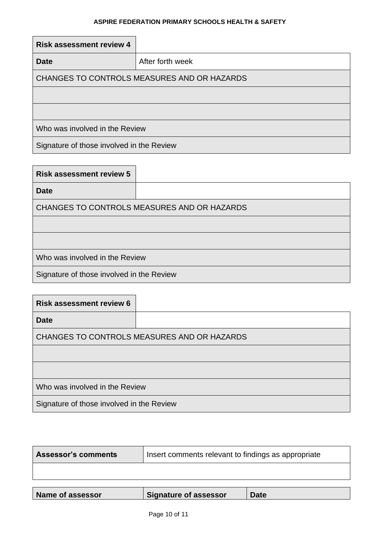| <b>Risk assessment review 4</b>           |                                             |
|-------------------------------------------|---------------------------------------------|
| <b>Date</b>                               | After forth week                            |
|                                           | CHANGES TO CONTROLS MEASURES AND OR HAZARDS |
|                                           |                                             |
|                                           |                                             |
| Who was involved in the Review            |                                             |
| Signature of those involved in the Review |                                             |

| <b>Risk assessment review 5</b>           |                                             |  |
|-------------------------------------------|---------------------------------------------|--|
| <b>Date</b>                               |                                             |  |
|                                           | CHANGES TO CONTROLS MEASURES AND OR HAZARDS |  |
|                                           |                                             |  |
|                                           |                                             |  |
| Who was involved in the Review            |                                             |  |
| Signature of those involved in the Review |                                             |  |

| <b>Risk assessment review 6</b>             |  |
|---------------------------------------------|--|
| <b>Date</b>                                 |  |
| CHANGES TO CONTROLS MEASURES AND OR HAZARDS |  |
|                                             |  |
|                                             |  |
| Who was involved in the Review              |  |
| Signature of those involved in the Review   |  |

| <b>Assessor's comments</b> | Insert comments relevant to findings as appropriate |             |
|----------------------------|-----------------------------------------------------|-------------|
|                            |                                                     |             |
|                            |                                                     |             |
| Name of assessor           | <b>Signature of assessor</b>                        | <b>Date</b> |